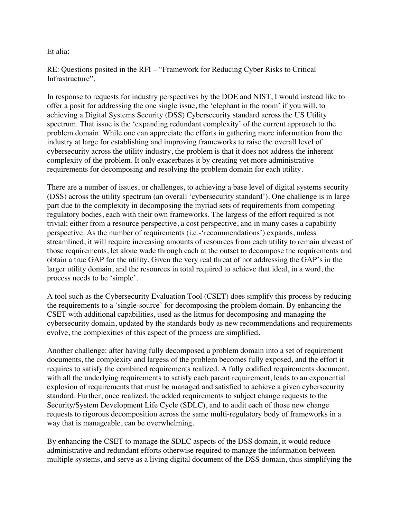Et alia:

RE: Questions posited in the RFI – "Framework for Reducing Cyber Risks to Critical Infrastructure".

In response to requests for industry perspectives by the DOE and NIST, I would instead like to offer a posit for addressing the one single issue, the 'elephant in the room' if you will, to achieving a Digital Systems Security (DSS) Cybersecurity standard across the US Utility spectrum. That issue is the 'expanding redundant complexity' of the current approach to the problem domain. While one can appreciate the efforts in gathering more information from the industry at large for establishing and improving frameworks to raise the overall level of cybersecurity across the utility industry, the problem is that it does not address the inherent complexity of the problem. It only exacerbates it by creating yet more administrative requirements for decomposing and resolving the problem domain for each utility.

There are a number of issues, or challenges, to achieving a base level of digital systems security (DSS) across the utility spectrum (an overall 'cybersecurity standard'). One challenge is in large part due to the complexity in decomposing the myriad sets of requirements from competing regulatory bodies, each with their own frameworks. The largess of the effort required is not trivial; either from a resource perspective, a cost perspective, and in many cases a capability perspective. As the number of requirements (i.e.-'recommendations') expands, unless streamlined, it will require increasing amounts of resources from each utility to remain abreast of those requirements, let alone wade through each at the outset to decompose the requirements and obtain a true GAP for the utility. Given the very real threat of not addressing the GAP's in the larger utility domain, and the resources in total required to achieve that ideal, in a word, the process needs to be 'simple'.

A tool such as the Cybersecurity Evaluation Tool (CSET) does simplify this process by reducing the requirements to a 'single-source' for decomposing the problem domain. By enhancing the CSET with additional capabilities, used as the litmus for decomposing and managing the cybersecurity domain, updated by the standards body as new recommendations and requirements evolve, the complexities of this aspect of the process are simplified.

Another challenge: after having fully decomposed a problem domain into a set of requirement documents, the complexity and largess of the problem becomes fully exposed, and the effort it requires to satisfy the combined requirements realized. A fully codified requirements document, with all the underlying requirements to satisfy each parent requirement, leads to an exponential explosion of requirements that must be managed and satisfied to achieve a given cybersecurity standard. Further, once realized, the added requirements to subject change requests to the Security/System Development Life Cycle (SDLC), and to audit each of those new change requests to rigorous decomposition across the same multi-regulatory body of frameworks in a way that is manageable, can be overwhelming.

By enhancing the CSET to manage the SDLC aspects of the DSS domain, it would reduce administrative and redundant efforts otherwise required to manage the information between multiple systems, and serve as a living digital document of the DSS domain, thus simplifying the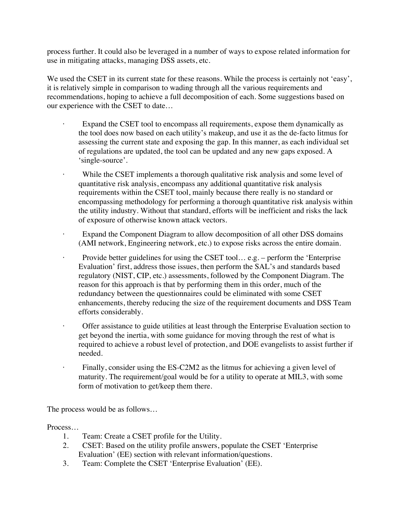process further. It could also be leveraged in a number of ways to expose related information for use in mitigating attacks, managing DSS assets, etc.

We used the CSET in its current state for these reasons. While the process is certainly not 'easy', it is relatively simple in comparison to wading through all the various requirements and recommendations, hoping to achieve a full decomposition of each. Some suggestions based on our experience with the CSET to date…

- Expand the CSET tool to encompass all requirements, expose them dynamically as the tool does now based on each utility's makeup, and use it as the de-facto litmus for assessing the current state and exposing the gap. In this manner, as each individual set of regulations are updated, the tool can be updated and any new gaps exposed. A 'single-source'.
- $\ddot{\phantom{0}}$ While the CSET implements a thorough qualitative risk analysis and some level of quantitative risk analysis, encompass any additional quantitative risk analysis requirements within the CSET tool, mainly because there really is no standard or encompassing methodology for performing a thorough quantitative risk analysis within the utility industry. Without that standard, efforts will be inefficient and risks the lack of exposure of otherwise known attack vectors.
- Expand the Component Diagram to allow decomposition of all other DSS domains (AMI network, Engineering network, etc.) to expose risks across the entire domain.
- $\bullet$ Provide better guidelines for using the CSET tool... e.g. – perform the 'Enterprise' Evaluation' first, address those issues, then perform the SAL's and standards based regulatory (NIST, CIP, etc.) assessments, followed by the Component Diagram. The reason for this approach is that by performing them in this order, much of the redundancy between the questionnaires could be eliminated with some CSET enhancements, thereby reducing the size of the requirement documents and DSS Team efforts considerably.
- $\ddot{\phantom{a}}$ · Offer assistance to guide utilities at least through the Enterprise Evaluation section to get beyond the inertia, with some guidance for moving through the rest of what is required to achieve a robust level of protection, and DOE evangelists to assist further if needed.
	- Finally, consider using the ES-C2M2 as the litmus for achieving a given level of maturity. The requirement/goal would be for a utility to operate at MIL3, with some form of motivation to get/keep them there.

The process would be as follows…

Process…

 $\ddot{\phantom{0}}$ 

- 1. Team: Create a CSET profile for the Utility.
- 2. CSET: Based on the utility profile answers, populate the CSET 'Enterprise Evaluation' (EE) section with relevant information/questions.
- 3. Team: Complete the CSET 'Enterprise Evaluation' (EE).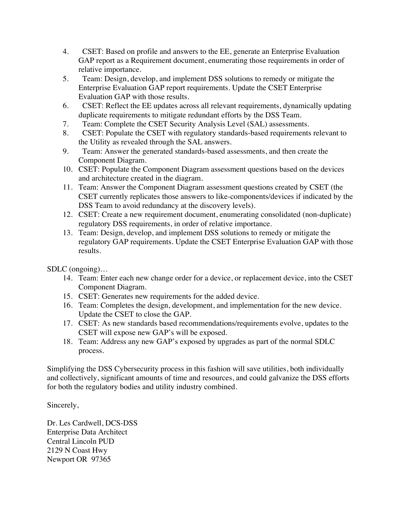- 4. GAP report as a Requirement document, enumerating those requirements in order of CSET: Based on profile and answers to the EE, generate an Enterprise Evaluation relative importance.
- 5. Team: Design, develop, and implement DSS solutions to remedy or mitigate the Enterprise Evaluation GAP report requirements. Update the CSET Enterprise Evaluation GAP with those results.
- 6. **CSET:** Reflect the EE updates across all relevant requirements, dynamically updating duplicate requirements to mitigate redundant efforts by the DSS Team.
- 7. Team: Complete the CSET Security Analysis Level (SAL) assessments.
- 8. CSET: Populate the CSET with regulatory standards-based requirements relevant to the Utility as revealed through the SAL answers.
- 9. Team: Answer the generated standards-based assessments, and then create the Component Diagram.
- 10. CSET: Populate the Component Diagram assessment questions based on the devices and architecture created in the diagram.
- 11. Team: Answer the Component Diagram assessment questions created by CSET (the CSET currently replicates those answers to like-components/devices if indicated by the DSS Team to avoid redundancy at the discovery levels).
- 12. CSET: Create a new requirement document, enumerating consolidated (non-duplicate) regulatory DSS requirements, in order of relative importance.
- 13. Team: Design, develop, and implement DSS solutions to remedy or mitigate the regulatory GAP requirements. Update the CSET Enterprise Evaluation GAP with those results.

SDLC (ongoing)…

- 14. Team: Enter each new change order for a device, or replacement device, into the CSET Component Diagram.
- 15. CSET: Generates new requirements for the added device.
- 16. Team: Completes the design, development, and implementation for the new device. Update the CSET to close the GAP.
- 17. CSET: As new standards based recommendations/requirements evolve, updates to the CSET will expose new GAP's will be exposed.
- 18. Team: Address any new GAP's exposed by upgrades as part of the normal SDLC process.

Simplifying the DSS Cybersecurity process in this fashion will save utilities, both individually and collectively, significant amounts of time and resources, and could galvanize the DSS efforts for both the regulatory bodies and utility industry combined.

Sincerely,

 Newport OR 97365 Dr. Les Cardwell, DCS-DSS Enterprise Data Architect Central Lincoln PUD 2129 N Coast Hwy